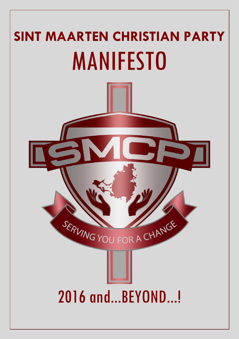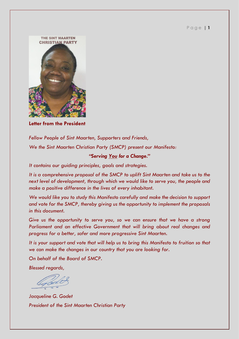

**Letter from the President**

*Fellow People of Sint Maarten, Supporters and Friends, We the Sint Maarten Christian Party (SMCP) present our Manifesto:* 

# *"Serving You for a Change."*

*It contains our guiding principles, goals and strategies.*

*It is a comprehensive proposal of the SMCP to uplift Sint Maarten and take us to the next level of development, through which we would like to serve you, the people and make a positive difference in the lives of every inhabitant.*

*We would like you to study this Manifesto carefully and make the decision to support and vote for the SMCP, thereby giving us the opportunity to implement the proposals in this document.*

*Give us the opportunity to serve you, so we can ensure that we have a strong Parliament and an effective Government that will bring about real changes and progress for a better, safer and more progressive Sint Maarten.* 

*It is your support and vote that will help us to bring this Manifesto to fruition so that we can make the changes in our country that you are looking for.* 

*On behalf of the Board of SMCP.*

*Blessed regards,* 

*Jacqueline G. Godet President of the Sint Maarten Christian Party*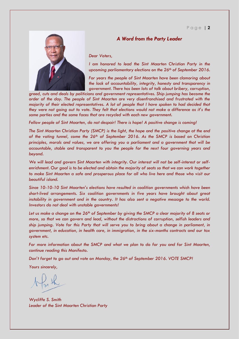#### P a g e | **2**

#### *A Word from the Party Leader*

*Dear Voters,*

*I am honored to lead the Sint Maarten Christian Party in the upcoming parliamentary elections on the 26th of September 2016.*

*For years the people of Sint Maarten have been clamoring about the lack of accountability, integrity, honesty and transparency in government. There has been lots of talk about bribery, corruption,* 

*greed, cuts and deals by politicians and government representatives. Ship jumping has become the order of the day. The people of Sint Maarten are very disenfranchised and frustrated with the majority of their elected representatives. A lot of people that I have spoken to had decided that they were not going out to vote. They felt that elections would not make a difference as it's the same parties and the same faces that are recycled with each new government.*

*Fellow people of Sint Maarten, do not despair! There is hope! A positive change is coming!* 

*The Sint Maarten Christian Party (SMCP) is the light, the hope and the positive change at the end of the voting tunnel, come the 26th of September 2016. As the SMCP is based on Christian principles, morals and values, we are offering you a parliament and a government that will be accountable, stable and transparent to you the people for the next four governing years and beyond.*

*We will lead and govern Sint Maarten with integrity. Our interest will not be self-interest or selfenrichment. Our goal is to be elected and obtain the majority of seats so that we can work together to make Sint Maarten a safe and prosperous place for all who live here and those who visit our beautiful island.*

*Since 10-10-10 Sint Maarten's elections have resulted in coalition governments which have been short-lived arrangements. Six coalition governments in five years have brought about great instability in government and in the country. It has also sent a negative message to the world. Investors do not deal with unstable governments!* 

*Let us make a change on the 26th of September by giving the SMCP a clear majority of 8 seats or more, so that we can govern and lead, without the distractions of corruption, selfish leaders and ship jumping. Vote for this Party that will serve you to bring about a change in parliament, in government, in education, in health care, in immigration, in the six-months contracts and our tax system etc.* 

*For more information about the SMCP and what we plan to do for you and for Sint Maarten, continue reading this Manifesto.* 

*Don't forget to go out and vote on Monday, the 26th of September 2016. VOTE SMCP!*

*Yours sincerely,*

*Wycliffe S. Smith Leader of the Sint Maarten Christian Party*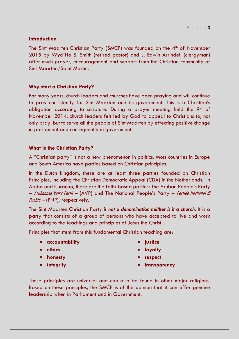# **Introduction**

The Sint Maarten Christian Party (SMCP) was founded on the 4<sup>th</sup> of November 2015 by Wycliffe S. Smith (retired pastor) and J. Edwin Arrindell (clergyman) after much prayer, encouragement and support from the Christian community of Sint Maarten/Saint Martin.

# **Why start a Christian Party?**

For many years, church leaders and churches have been praying and will continue to pray consistently for Sint Maarten and its government. This is a Christian's obligation according to scripture. During a prayer meeting held the 9<sup>th</sup> of November 2014, church leaders felt led by God to appeal to Christians to, not only pray, but to serve all the people of Sint Maarten by effecting positive change in parliament and consequently in government.

# **What is the Christian Party?**

A "Christian party" is not a new phenomenon in politics. Most countries in Europe and South America have parties based on Christian principles.

In the Dutch kingdom, there are at least three parties founded on Christian Principles, including the Christian Democratic Appeal (CDA) in the Netherlands. In Aruba and Curaçao, there are the faith-based parties: The Aruban People's Party – Arubaanse Volks Partij – (AVP) and The National People's Party – Partido Nashonal di Pueblo – (PNP), respectively.

The Sint Maarten Christian Party *is not a denomination neither is it a church*. It is a party that consists of a group of persons who have accepted to live and work according to the teachings and principles of Jesus the Christ!

Principles that stem from this fundamental Christian teaching are:

- **accountability**
- **ethics**
- **honesty**
- **integrity**
- **justice**
- **loyalty**
- **respect**
- **transparency**

These principles are universal and can also be found in other major religions. Based on these principles, the SMCP is of the opinion that it can offer genuine leadership when in Parliament and in Government.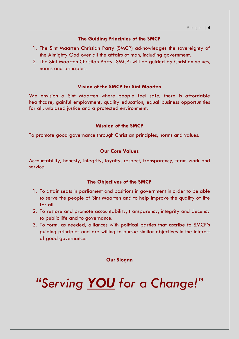# **The Guiding Principles of the SMCP**

- 1. The Sint Maarten Christian Party (SMCP) acknowledges the sovereignty of the Almighty God over all the affairs of man, including government.
- 2. The Sint Maarten Christian Party (SMCP) will be guided by Christian values, norms and principles.

#### **Vision of the SMCP for Sint Maarten**

We envision a Sint Maarten where people feel safe, there is affordable healthcare, gainful employment, quality education, equal business opportunities for all, unbiased justice and a protected environment.

#### **Mission of the SMCP**

To promote good governance through Christian principles, norms and values.

# **Our Core Values**

Accountability, honesty, integrity, loyalty, respect, transparency, team work and service.

#### **The Objectives of the SMCP**

- 1. To attain seats in parliament and positions in government in order to be able to serve the people of Sint Maarten and to help improve the quality of life for all.
- 2. To restore and promote accountability, transparency, integrity and decency to public life and to governance.
- 3. To form, as needed, alliances with political parties that ascribe to SMCP's guiding principles and are willing to pursue similar objectives in the interest of good governance.

**Our Slogan**

*"Serving YOU for a Change!"*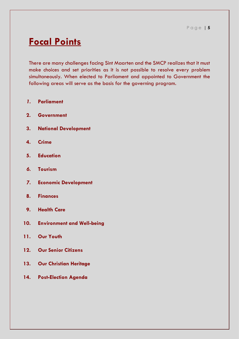# **Focal Points**

There are many challenges facing Sint Maarten and the SMCP realizes that it must make choices and set priorities as it is not possible to resolve every problem simultaneously. When elected to Parliament and appointed to Government the following areas will serve as the basis for the governing program.

- *1.* **Parliament**
- **2. Government**
- **3. National Development**
- **4. Crime**
- **5. Education**
- *6.* **Tourism**
- *7.* **Economic Development**
- **8. Finances**
- **9. Health Care**
- **10. Environment and Well-being**
- **11. Our Youth**
- **12. Our Senior Citizens**
- **13. Our Christian Heritage**
- **14. Post-Election Agenda**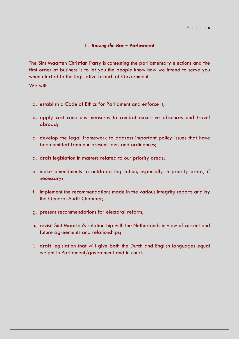#### P a g e | **6**

#### **1.** *Raising the Bar* **– Parliament**

The Sint Maarten Christian Party is contesting the parliamentary elections and the first order of business is to let you the people know how we intend to serve you when elected to the legislative branch of Government.

We will:

- a. establish a Code of Ethics for Parliament and enforce it;
- b. apply cost conscious measures to combat excessive absences and travel abroad;
- c. develop the legal framework to address important policy issues that have been omitted from our present laws and ordinances;
- d. draft legislation in matters related to our priority areas;
- e. make amendments to outdated legislation, especially in priority areas, if necessary;
- f. implement the recommendations made in the various integrity reports and by the General Audit Chamber;
- g. present recommendations for electoral reform;
- h. revisit Sint Maarten's relationship with the Netherlands in view of current and future agreements and relationships;
- i. draft legislation that will give both the Dutch and English languages equal weight in Parliament/government and in court.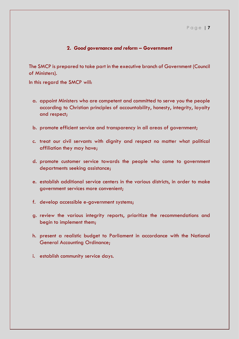# **2.** *Good governance and reform* **– Government**

The SMCP is prepared to take part in the executive branch of Government (Council of Ministers).

In this regard the SMCP will:

- a. appoint Ministers who are competent and committed to serve you the people according to Christian principles of accountability, honesty, integrity, loyalty and respect;
- b. promote efficient service and transparency in all areas of government;
- c. treat our civil servants with dignity and respect no matter what political affiliation they may have;
- d. promote customer service towards the people who come to government departments seeking assistance;
- e. establish additional service centers in the various districts, in order to make government services more convenient;
- f. develop accessible e-government systems;
- g. review the various integrity reports, prioritize the recommendations and begin to implement them;
- h. present a realistic budget to Parliament in accordance with the National General Accounting Ordinance;
- i. establish community service days.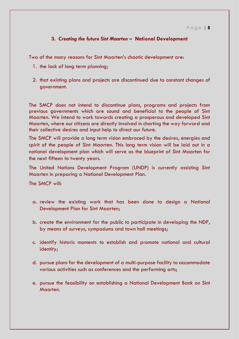# **3.** *Creating the future Sint Maarten* **– National Development**

Two of the many reasons for Sint Maarten's chaotic development are:

- 1. the lack of long term planning;
- 2. that existing plans and projects are discontinued due to constant changes of government.

The SMCP does not intend to discontinue plans, programs and projects from previous governments which are sound and beneficial to the people of Sint Maarten. We intend to work towards creating a prosperous and developed Sint Maarten, where our citizens are directly involved in charting the way forward and their collective desires and input help to direct our future.

The SMCP will provide a long term vision embraced by the desires, energies and spirit of the people of Sint Maarten. This long term vision will be laid out in a national development plan which will serve as the blueprint of Sint Maarten for the next fifteen to twenty years.

The United Nations Development Program (UNDP) is currently assisting Sint Maarten in preparing a National Development Plan.

- a. review the existing work that has been done to design a National Development Plan for Sint Maarten;
- b. create the environment for the public to participate in developing the NDP, by means of surveys, symposiums and town hall meetings;
- c. identify historic moments to establish and promote national and cultural identity;
- d. pursue plans for the development of a multi-purpose facility to accommodate various activities such as conferences and the performing arts;
- e. pursue the feasibility on establishing a National Development Bank on Sint Maarten.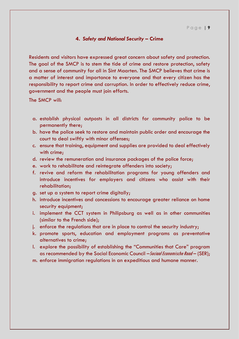#### **4.** *Safety and National Security* **– Crime**

Residents and visitors have expressed great concern about safety and protection. The goal of the SMCP is to stem the tide of crime and restore protection, safety and a sense of community for all in Sint Maarten. The SMCP believes that crime is a matter of interest and importance to everyone and that every citizen has the responsibility to report crime and corruption. In order to effectively reduce crime, government and the people must join efforts.

- a. establish physical outposts in all districts for community police to be permanently there;
- b. have the police seek to restore and maintain public order and encourage the court to deal swiftly with minor offenses;
- c. ensure that training, equipment and supplies are provided to deal effectively with crime;
- d. review the remuneration and insurance packages of the police force;
- e. work to rehabilitate and reintegrate offenders into society;
- f. revive and reform the rehabilitation programs for young offenders and introduce incentives for employers and citizens who assist with their rehabilitation;
- g. set up a system to report crime digitally;
- h. introduce incentives and concessions to encourage greater reliance on home security equipment;
- i. implement the CCT system in Philipsburg as well as in other communities (similar to the French side);
- j. enforce the regulations that are in place to control the security industry;
- k. promote sports, education and employment programs as preventative alternatives to crime;
- l. explore the possibility of establishing the "Communities that Care" program as recommended by the Social Economic Council – Sociaal Economische Raad – (SER);
- m. enforce immigration regulations in an expeditious and humane manner.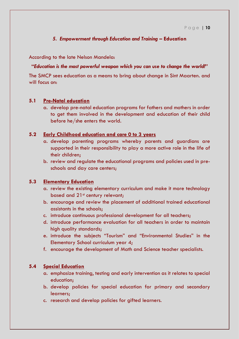# *5. Empowerment through Education and Training* **– Education**

According to the late Nelson Mandela:

#### **"***Education is the most powerful weapon which you can use to change the world!"*

The SMCP sees education as a means to bring about change in Sint Maarten. and will focus on:

# **5.1 Pre-Natal education**

a. develop pre-natal education programs for fathers and mothers in order to get them involved in the development and education of their child before he/she enters the world.

#### **5.2 Early Childhood education and care 0 to 3 years**

- a. develop parenting programs whereby parents and guardians are supported in their responsibility to play a more active role in the life of their children;
- b. review and regulate the educational programs and policies used in preschools and day care centers;

# **5.3 Elementary Education**

- a. review the existing elementary curriculum and make it more technology based and 21<sup>st</sup> century relevant;
- b. encourage and review the placement of additional trained educational assistants in the schools;
- c. introduce continuous professional development for all teachers;
- d. introduce performance evaluation for all teachers in order to maintain high quality standards;
- e. introduce the subjects "Tourism" and "Environmental Studies" in the Elementary School curriculum year 4;
- f. encourage the development of Math and Science teacher specialists.

# **5.4 Special Education**

- a. emphasize training, testing and early intervention as it relates to special education;
- b. develop policies for special education for primary and secondary learners;
- c. research and develop policies for gifted learners.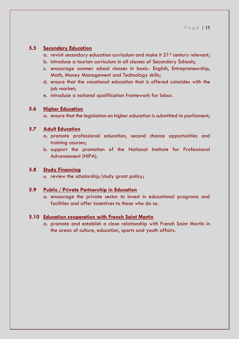# **5.5 Secondary Education**

- a. revisit secondary education curriculum and make it  $21<sup>st</sup>$  century relevant;
- b. introduce a tourism curriculum in all classes of Secondary Schools;
- c. encourage summer school classes in basic- English, Entrepreneurship, Math, Money Management and Technology skills;
- d. ensure that the vocational education that is offered coincides with the job market;
- e. introduce a national qualification framework for labor.

#### **5.6 Higher Education**

a. ensure that the legislation on higher education is submitted to parliament;

#### **5.7 Adult Education**

- a. promote professional education, second chance opportunities and training courses;
- b. support the promotion of the National Institute for Professional Advancement (NIPA).

# **5.8 Study Financing**

a. review the scholarship/study grant policy;

#### **5.9 Public / Private Partnership in Education**

a. encourage the private sector to invest in educational programs and facilities and offer incentives to those who do so.

#### **5.10 Education cooperation with French Saint Martin**

a. promote and establish a close relationship with French Saint Martin in the areas of culture, education, sports and youth affairs.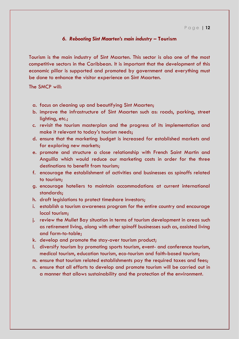# *6. Rebooting Sint Maarten's main industry* **– Tourism**

Tourism is the main industry of Sint Maarten. This sector is also one of the most competitive sectors in the Caribbean. It is important that the development of this economic pillar is supported and promoted by government and everything must be done to enhance the visitor experience on Sint Maarten.

- a. focus on cleaning up and beautifying Sint Maarten;
- b. improve the infrastructure of Sint Maarten such as: roads, parking, street lighting, etc.;
- c. revisit the tourism masterplan and the progress of its implementation and make it relevant to today's tourism needs;
- d. ensure that the marketing budget is increased for established markets and for exploring new markets;
- e. promote and structure a close relationship with French Saint Martin and Anguilla which would reduce our marketing costs in order for the three destinations to benefit from tourism;
- f. encourage the establishment of activities and businesses as spinoffs related to tourism;
- g. encourage hoteliers to maintain accommodations at current international standards;
- h. draft legislations to protect timeshare investors;
- i. establish a tourism awareness program for the entire country and encourage local tourism;
- j. review the Mullet Bay situation in terms of tourism development in areas such as retirement living, along with other spinoff businesses such as, assisted living and farm-to-table;
- k. develop and promote the stay-over tourism product;
- l. diversify tourism by promoting sports tourism, event- and conference tourism, medical tourism, education tourism, eco-tourism and faith-based tourism;
- m. ensure that tourism related establishments pay the required taxes and fees;
- n. ensure that all efforts to develop and promote tourism will be carried out in a manner that allows sustainability and the protection of the environment.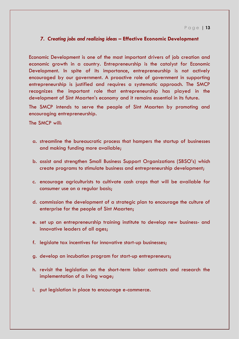# *7. Creating jobs and realizing ideas* **– Effective Economic Development**

Economic Development is one of the most important drivers of job creation and economic growth in a country. Entrepreneurship is the catalyst for Economic Development. In spite of its importance, entrepreneurship is not actively encouraged by our government. A proactive role of government in supporting entrepreneurship is justified and requires a systematic approach. The SMCP recognizes the important role that entrepreneurship has played in the development of Sint Maarten's economy and it remains essential in its future.

The SMCP intends to serve the people of Sint Maarten by promoting and encouraging entrepreneurship.

- a. streamline the bureaucratic process that hampers the startup of businesses and making funding more available;
- b. assist and strengthen Small Business Support Organizations (SBSO's) which create programs to stimulate business and entrepreneurship development;
- c. encourage agriculturists to cultivate cash crops that will be available for consumer use on a regular basis;
- d. commission the development of a strategic plan to encourage the culture of enterprise for the people of Sint Maarten;
- e. set up an entrepreneurship training institute to develop new business- and innovative leaders of all ages;
- f. legislate tax incentives for innovative start-up businesses;
- g. develop an incubation program for start-up entrepreneurs;
- h. revisit the legislation on the short-term labor contracts and research the implementation of a living wage;
- i. put legislation in place to encourage e-commerce.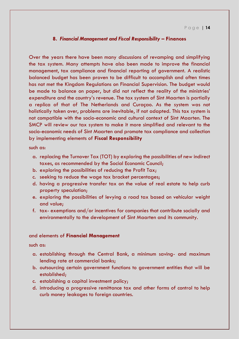# **8.** *Financial Management and Fiscal Responsibility* **– Finances**

Over the years there have been many discussions of revamping and simplifying the tax system. Many attempts have also been made to improve the financial management, tax compliance and financial reporting of government. A realistic balanced budget has been proven to be difficult to accomplish and often times has not met the Kingdom Regulations on Financial Supervision. The budget would be made to balance on paper, but did not reflect the reality of the ministries' expenditure and the country's revenue. The tax system of Sint Maarten is partially a replica of that of The Netherlands and Curaçao. As the system was not holistically taken over, problems are inevitable, if not adapted. This tax system is not compatible with the socio-economic and cultural context of Sint Maarten. The SMCP will review our tax system to make it more simplified and relevant to the socio-economic needs of Sint Maarten and promote tax compliance and collection by implementing elements of **Fiscal Responsibility**

such as:

- a. replacing the Turnover Tax (TOT) by exploring the possibilities of new indirect taxes, as recommended by the Social Economic Council;
- b. exploring the possibilities of reducing the Profit Tax;
- c. seeking to reduce the wage tax bracket percentages;
- d. having a progressive transfer tax on the value of real estate to help curb property speculation;
- e. exploring the possibilities of levying a road tax based on vehicular weight and value;
- f. tax- exemptions and/or incentives for companies that contribute socially and environmentally to the development of Sint Maarten and its community.

#### and elements of **Financial Management**

such as:

- a. establishing through the Central Bank, a minimum saving- and maximum lending rate at commercial banks;
- b. outsourcing certain government functions to government entities that will be established;
- c. establishing a capital investment policy;
- d. introducing a progressive remittance tax and other forms of control to help curb money leakages to foreign countries.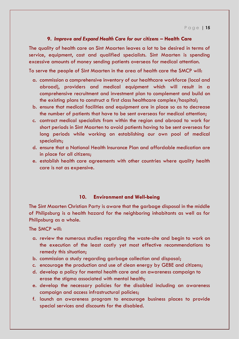#### **9.** *Improve and Expand Health Care for our citizens* **– Health Care**

The quality of health care on Sint Maarten leaves a lot to be desired in terms of service, equipment, cost and qualified specialists. Sint Maarten is spending excessive amounts of money sending patients overseas for medical attention.

To serve the people of Sint Maarten in the area of health care the SMCP will:

- a. commission a comprehensive inventory of our healthcare workforce (local and abroad), providers and medical equipment which will result in a comprehensive recruitment and investment plan to complement and build on the existing plans to construct a first class healthcare complex/hospital;
- b. ensure that medical facilities and equipment are in place so as to decrease the number of patients that have to be sent overseas for medical attention;
- c. contract medical specialists from within the region and abroad to work for short periods in Sint Maarten to avoid patients having to be sent overseas for long periods while working on establishing our own pool of medical specialists;
- d. ensure that a National Health Insurance Plan and affordable medication are in place for all citizens;
- e. establish health care agreements with other countries where quality health care is not as expensive.

#### **10. Environment and Well-being**

The Sint Maarten Christian Party is aware that the garbage disposal in the middle of Philipsburg is a health hazard for the neighboring inhabitants as well as for Philipsburg as a whole.

- a. review the numerous studies regarding the waste-site and begin to work on the execution of the least costly yet most effective recommendations to remedy this situation;
- b. commission a study regarding garbage collection and disposal;
- c. encourage the production and use of clean energy by GEBE and citizens;
- d. develop a policy for mental health care and an awareness campaign to erase the stigma associated with mental health;
- e. develop the necessary policies for the disabled including an awareness campaign and access infrastructural policies;
- f. launch an awareness program to encourage business places to provide special services and discounts for the disabled.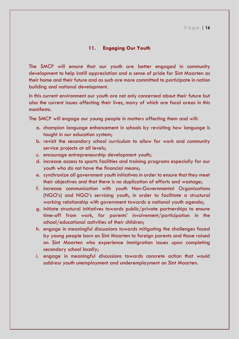# **11. Engaging Our Youth**

The SMCP will ensure that our youth are better engaged in community development to help instill appreciation and a sense of pride for Sint Maarten as their home and their future and as such are more committed to participate in nation building and national development.

In this current environment our youth are not only concerned about their future but also the current issues affecting their lives, many of which are focal areas in this manifesto.

The SMCP will engage our young people in matters affecting them and will:

- a. champion language enhancement in schools by revisiting how language is taught in our education system;
- b. revisit the secondary school curriculum to allow for work and community service projects at all levels;
- c. encourage entrepreneurship development youth;
- d. increase access to sports facilities and training programs especially for our youth who do not have the financial means;
- e. synchronize all government youth initiatives in order to ensure that they meet their objectives and that there is no duplication of efforts and wastage;
- f. increase communication with youth Non-Governmental Organizations (NGO's) and NGO's servicing youth, in order to facilitate a structural working relationship with government towards a national youth agenda;
- g. initiate structural initiatives towards public/private partnerships to ensure time-off from work, for parents' involvement/participation in the school/educational activities of their children;
- h. engage in meaningful discussions towards mitigating the challenges faced by young people born on Sint Maarten to foreign parents and those raised on Sint Maarten who experience immigration issues upon completing secondary school locally;
- i. engage in meaningful discussions towards concrete action that would address youth unemployment and underemployment on Sint Maarten.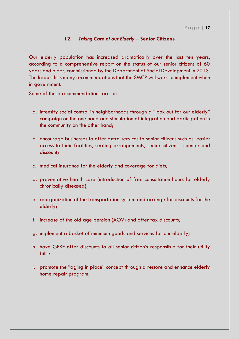# **12.** *Taking Care of our Elderly* **– Senior Citizens**

Our elderly population has increased dramatically over the last ten years, according to a comprehensive report on the status of our senior citizens of 60 years and older, commissioned by the Department of Social Development in 2013. The Report lists many recommendations that the SMCP will work to implement when in government.

Some of these recommendations are to:

- a. intensify social control in neighborhoods through a "look out for our elderly" campaign on the one hand and stimulation of integration and participation in the community on the other hand;
- b. encourage businesses to offer extra services to senior citizens such as: easier access to their facilities, seating arrangements, senior citizens'- counter and discount;
- c. medical insurance for the elderly and coverage for diets;
- d. preventative health care (introduction of free consultation hours for elderly chronically diseased);
- e. reorganization of the transportation system and arrange for discounts for the elderly;
- f. increase of the old age pension (AOV) and offer tax discounts;
- g. implement a basket of minimum goods and services for our elderly;
- h. have GEBE offer discounts to all senior citizen's responsible for their utility bills;
- i. promote the "aging in place" concept through a restore and enhance elderly home repair program.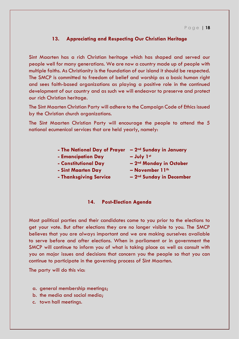# **13. Appreciating and Respecting Our Christian Heritage**

Sint Maarten has a rich Christian heritage which has shaped and served our people well for many generations. We are now a country made up of people with multiple faiths. As Christianity is the foundation of our island it should be respected. The SMCP is committed to freedom of belief and worship as a basic human right and sees faith-based organizations as playing a positive role in the continued development of our country and as such we will endeavor to preserve and protect our rich Christian heritage.

The Sint Maarten Christian Party will adhere to the Campaign Code of Ethics issued by the Christian church organizations.

The Sint Maarten Christian Party will encourage the people to attend the 5 national ecumenical services that are held yearly, namely:

| - The National Day of Prayer $-2^{nd}$ Sunday in January |              |
|----------------------------------------------------------|--------------|
| - Emancipation Day                                       | $-$ July 1st |

- 
- **- Sint Maarten Day – November 11th**
- **- Constitutional Day – 2nd Monday in October**
	-
- **- Thanksgiving Service – 2nd Sunday in December**

#### **14. Post-Election Agenda**

Most political parties and their candidates come to you prior to the elections to get your vote. But after elections they are no longer visible to you. The SMCP believes that you are always important and we are making ourselves available to serve before and after elections. When in parliament or in government the SMCP will continue to inform you of what is taking place as well as consult with you on major issues and decisions that concern you the people so that you can continue to participate in the governing process of Sint Maarten.

The party will do this via:

- a. general membership meetings;
- b. the media and social media;
- c. town hall meetings.